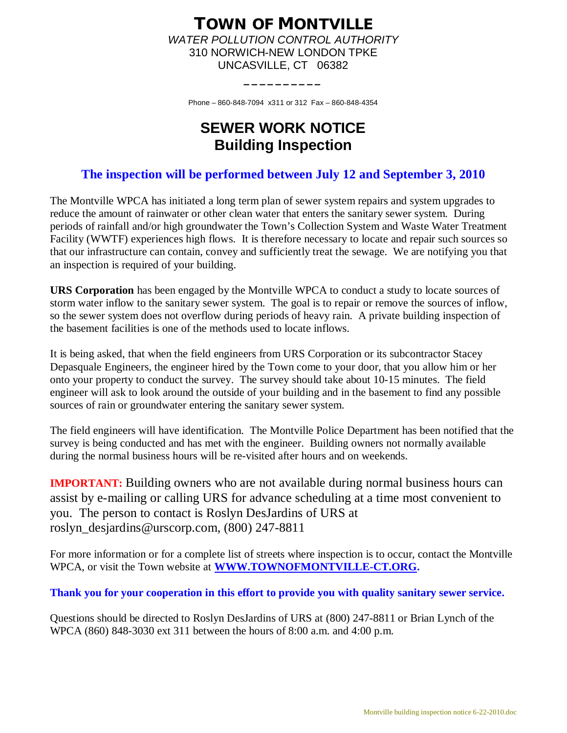# **TOWN OF MONTVILLE** *WATER POLLUTION CONTROL AUTHORITY* 310 NORWICH-NEW LONDON TPKE UNCASVILLE, CT 06382

Phone – 860-848-7094 x311 or 312 Fax – 860-848-4354

**\_\_\_\_\_\_\_\_\_\_**

# **SEWER WORK NOTICE Building Inspection**

# **The inspection will be performed between July 12 and September 3, 2010**

The Montville WPCA has initiated a long term plan of sewer system repairs and system upgrades to reduce the amount of rainwater or other clean water that enters the sanitary sewer system. During periods of rainfall and/or high groundwater the Town's Collection System and Waste Water Treatment Facility (WWTF) experiences high flows. It is therefore necessary to locate and repair such sources so that our infrastructure can contain, convey and sufficiently treat the sewage. We are notifying you that an inspection is required of your building.

**URS Corporation** has been engaged by the Montville WPCA to conduct a study to locate sources of storm water inflow to the sanitary sewer system. The goal is to repair or remove the sources of inflow, so the sewer system does not overflow during periods of heavy rain. A private building inspection of the basement facilities is one of the methods used to locate inflows.

It is being asked, that when the field engineers from URS Corporation or its subcontractor Stacey Depasquale Engineers, the engineer hired by the Town come to your door, that you allow him or her onto your property to conduct the survey. The survey should take about 10-15 minutes. The field engineer will ask to look around the outside of your building and in the basement to find any possible sources of rain or groundwater entering the sanitary sewer system.

The field engineers will have identification. The Montville Police Department has been notified that the survey is being conducted and has met with the engineer. Building owners not normally available during the normal business hours will be re-visited after hours and on weekends.

**IMPORTANT:** Building owners who are not available during normal business hours can assist by e-mailing or calling URS for advance scheduling at a time most convenient to you. The person to contact is Roslyn DesJardins of URS at [roslyn\\_desjardins@urscorp.com,](mailto:roslyn_desjardins@urscorp.com) (800) 247-8811

For more information or for a complete list of streets where inspection is to occur, contact the Montville WPCA, or visit the Town website at **[WWW.TOWNOFMONTVILLE-CT.ORG.](http://WWW.TOWNOFMONTVILLE-CT.ORG./)**

**Thank you for your cooperation in this effort to provide you with quality sanitary sewer service.**

Questions should be directed to Roslyn DesJardins of URS at (800) 247-8811 or Brian Lynch of the WPCA (860) 848-3030 ext 311 between the hours of 8:00 a.m. and 4:00 p.m.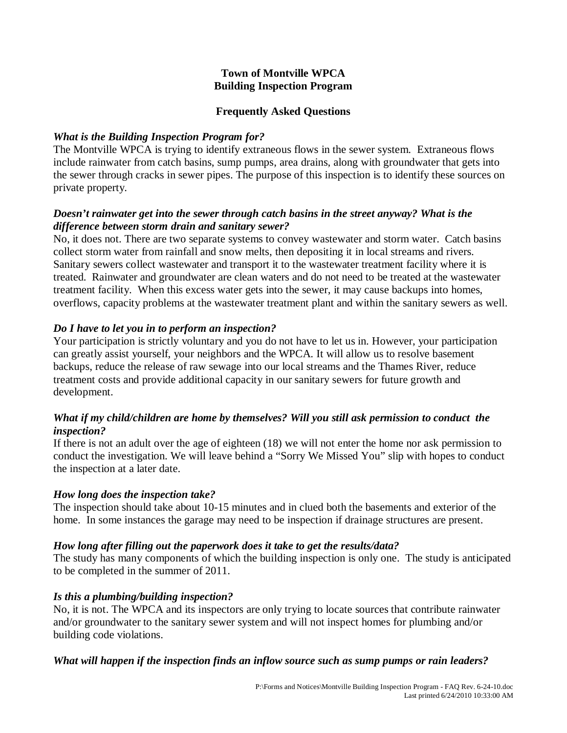## **Town of Montville WPCA Building Inspection Program**

## **Frequently Asked Questions**

# *What is the Building Inspection Program for?*

The Montville WPCA is trying to identify extraneous flows in the sewer system. Extraneous flows include rainwater from catch basins, sump pumps, area drains, along with groundwater that gets into the sewer through cracks in sewer pipes. The purpose of this inspection is to identify these sources on private property.

# *Doesn't rainwater get into the sewer through catch basins in the street anyway? What is the difference between storm drain and sanitary sewer?*

No, it does not. There are two separate systems to convey wastewater and storm water. Catch basins collect storm water from rainfall and snow melts, then depositing it in local streams and rivers. Sanitary sewers collect wastewater and transport it to the wastewater treatment facility where it is treated. Rainwater and groundwater are clean waters and do not need to be treated at the wastewater treatment facility. When this excess water gets into the sewer, it may cause backups into homes, overflows, capacity problems at the wastewater treatment plant and within the sanitary sewers as well.

# *Do I have to let you in to perform an inspection?*

Your participation is strictly voluntary and you do not have to let us in. However, your participation can greatly assist yourself, your neighbors and the WPCA. It will allow us to resolve basement backups, reduce the release of raw sewage into our local streams and the Thames River, reduce treatment costs and provide additional capacity in our sanitary sewers for future growth and development.

# *What if my child/children are home by themselves? Will you still ask permission to conduct the inspection?*

If there is not an adult over the age of eighteen (18) we will not enter the home nor ask permission to conduct the investigation. We will leave behind a "Sorry We Missed You" slip with hopes to conduct the inspection at a later date.

# *How long does the inspection take?*

The inspection should take about 10-15 minutes and in clued both the basements and exterior of the home. In some instances the garage may need to be inspection if drainage structures are present.

# *How long after filling out the paperwork does it take to get the results/data?*

The study has many components of which the building inspection is only one. The study is anticipated to be completed in the summer of 2011.

# *Is this a plumbing/building inspection?*

No, it is not. The WPCA and its inspectors are only trying to locate sources that contribute rainwater and/or groundwater to the sanitary sewer system and will not inspect homes for plumbing and/or building code violations.

# *What will happen if the inspection finds an inflow source such as sump pumps or rain leaders?*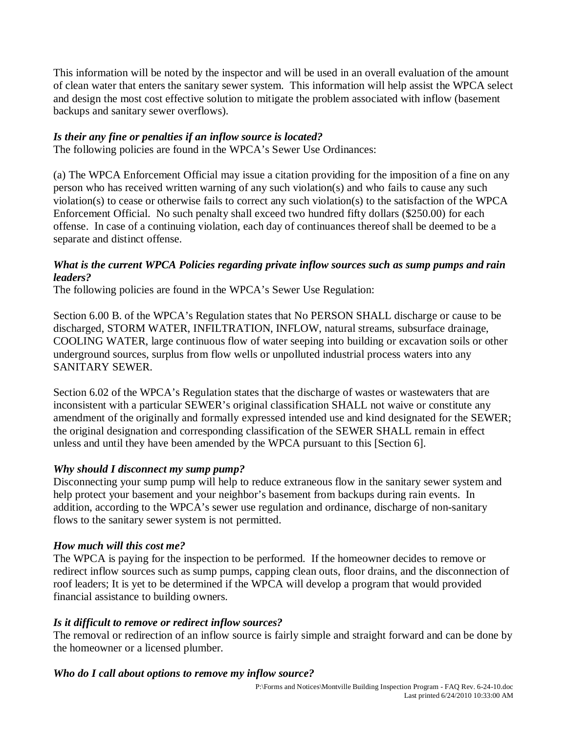This information will be noted by the inspector and will be used in an overall evaluation of the amount of clean water that enters the sanitary sewer system. This information will help assist the WPCA select and design the most cost effective solution to mitigate the problem associated with inflow (basement backups and sanitary sewer overflows).

# *Is their any fine or penalties if an inflow source is located?*

The following policies are found in the WPCA's Sewer Use Ordinances:

(a) The WPCA Enforcement Official may issue a citation providing for the imposition of a fine on any person who has received written warning of any such violation(s) and who fails to cause any such violation(s) to cease or otherwise fails to correct any such violation(s) to the satisfaction of the WPCA Enforcement Official. No such penalty shall exceed two hundred fifty dollars (\$250.00) for each offense. In case of a continuing violation, each day of continuances thereof shall be deemed to be a separate and distinct offense.

## *What is the current WPCA Policies regarding private inflow sources such as sump pumps and rain leaders?*

The following policies are found in the WPCA's Sewer Use Regulation:

Section 6.00 B. of the WPCA's Regulation states that No PERSON SHALL discharge or cause to be discharged, STORM WATER, INFILTRATION, INFLOW, natural streams, subsurface drainage, COOLING WATER, large continuous flow of water seeping into building or excavation soils or other underground sources, surplus from flow wells or unpolluted industrial process waters into any SANITARY SEWER.

Section 6.02 of the WPCA's Regulation states that the discharge of wastes or wastewaters that are inconsistent with a particular SEWER's original classification SHALL not waive or constitute any amendment of the originally and formally expressed intended use and kind designated for the SEWER; the original designation and corresponding classification of the SEWER SHALL remain in effect unless and until they have been amended by the WPCA pursuant to this [Section 6].

# *Why should I disconnect my sump pump?*

Disconnecting your sump pump will help to reduce extraneous flow in the sanitary sewer system and help protect your basement and your neighbor's basement from backups during rain events. In addition, according to the WPCA's sewer use regulation and ordinance, discharge of non-sanitary flows to the sanitary sewer system is not permitted.

# *How much will this cost me?*

The WPCA is paying for the inspection to be performed. If the homeowner decides to remove or redirect inflow sources such as sump pumps, capping clean outs, floor drains, and the disconnection of roof leaders; It is yet to be determined if the WPCA will develop a program that would provided financial assistance to building owners.

# *Is it difficult to remove or redirect inflow sources?*

The removal or redirection of an inflow source is fairly simple and straight forward and can be done by the homeowner or a licensed plumber.

# *Who do I call about options to remove my inflow source?*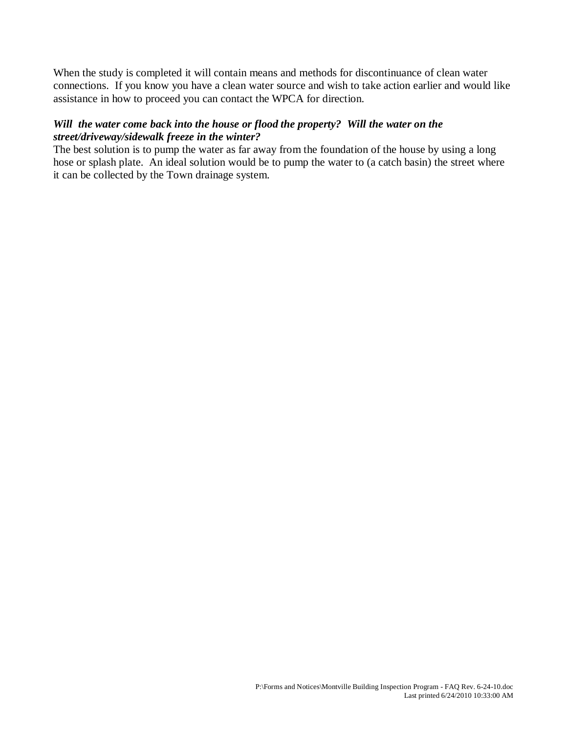When the study is completed it will contain means and methods for discontinuance of clean water connections. If you know you have a clean water source and wish to take action earlier and would like assistance in how to proceed you can contact the WPCA for direction.

# *Will the water come back into the house or flood the property? Will the water on the street/driveway/sidewalk freeze in the winter?*

The best solution is to pump the water as far away from the foundation of the house by using a long hose or splash plate. An ideal solution would be to pump the water to (a catch basin) the street where it can be collected by the Town drainage system.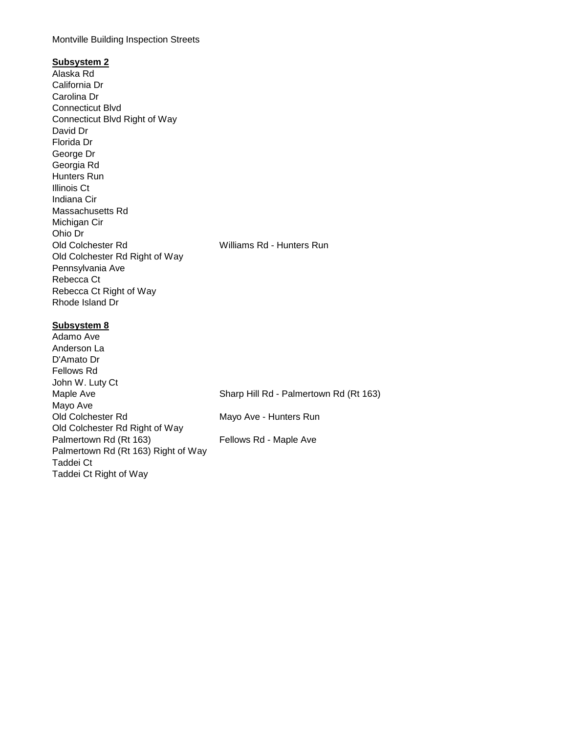#### Montville Building Inspection Streets

### **Subsystem 2**

Alaska Rd California Dr Carolina Dr Connecticut Blvd Connecticut Blvd Right of Way David Dr Florida Dr George Dr Georgia Rd Hunters Run Illinois Ct Indiana Cir Massachusetts Rd Michigan Cir Ohio Dr Old Colchester Rd Williams Rd - Hunters Run Old Colchester Rd Right of Way Pennsylvania Ave Rebecca Ct Rebecca Ct Right of Way Rhode Island Dr

### **Subsystem 8**

Adamo Ave Anderson La D'Amato Dr Fellows Rd John W. Luty Ct Maple Ave Sharp Hill Rd - Palmertown Rd (Rt 163) Mayo Ave Old Colchester Rd Mayo Ave - Hunters Run Old Colchester Rd Right of Way Palmertown Rd (Rt 163) Fellows Rd - Maple Ave Palmertown Rd (Rt 163) Right of Way Taddei Ct Taddei Ct Right of Way